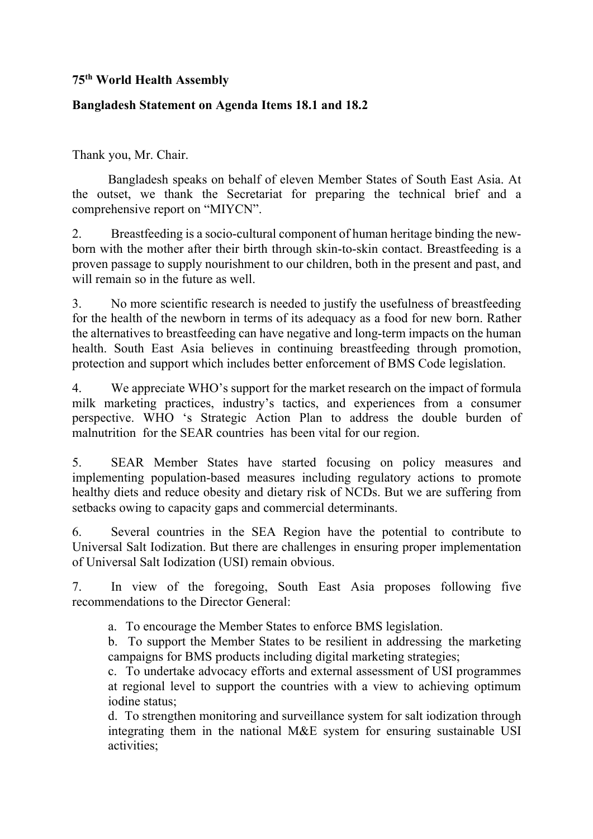## **75th World Health Assembly**

## **Bangladesh Statement on Agenda Items 18.1 and 18.2**

Thank you, Mr. Chair.

Bangladesh speaks on behalf of eleven Member States of South East Asia. At the outset, we thank the Secretariat for preparing the technical brief and a comprehensive report on "MIYCN".

2. Breastfeeding is a socio-cultural component of human heritage binding the newborn with the mother after their birth through skin-to-skin contact. Breastfeeding is a proven passage to supply nourishment to our children, both in the present and past, and will remain so in the future as well.

3. No more scientific research is needed to justify the usefulness of breastfeeding for the health of the newborn in terms of its adequacy as a food for new born. Rather the alternatives to breastfeeding can have negative and long-term impacts on the human health. South East Asia believes in continuing breastfeeding through promotion, protection and support which includes better enforcement of BMS Code legislation.

4. We appreciate WHO's support for the market research on the impact of formula milk marketing practices, industry's tactics, and experiences from a consumer perspective. WHO 's Strategic Action Plan to address the double burden of malnutrition for the SEAR countries has been vital for our region.

5. SEAR Member States have started focusing on policy measures and implementing population-based measures including regulatory actions to promote healthy diets and reduce obesity and dietary risk of NCDs. But we are suffering from setbacks owing to capacity gaps and commercial determinants.

6. Several countries in the SEA Region have the potential to contribute to Universal Salt Iodization. But there are challenges in ensuring proper implementation of Universal Salt Iodization (USI) remain obvious.

7. In view of the foregoing, South East Asia proposes following five recommendations to the Director General:

a. To encourage the Member States to enforce BMS legislation.

b. To support the Member States to be resilient in addressing the marketing campaigns for BMS products including digital marketing strategies;

c. To undertake advocacy efforts and external assessment of USI programmes at regional level to support the countries with a view to achieving optimum iodine status;

d. To strengthen monitoring and surveillance system for salt iodization through integrating them in the national M&E system for ensuring sustainable USI activities;